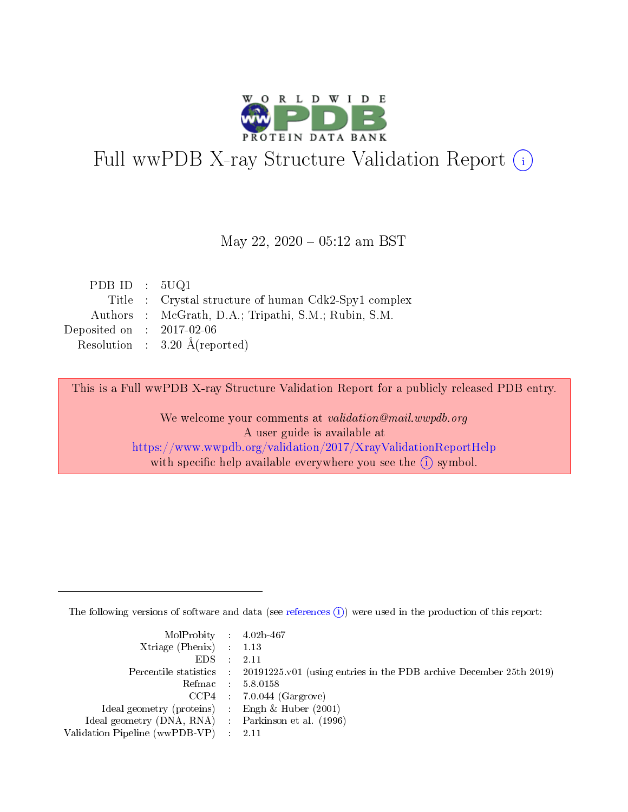

# Full wwPDB X-ray Structure Validation Report (i)

#### May 22,  $2020 - 05:12$  am BST

| PDB ID : $5UQ1$             |                                                      |
|-----------------------------|------------------------------------------------------|
|                             | Title : Crystal structure of human Cdk2-Spy1 complex |
|                             | Authors : McGrath, D.A.; Tripathi, S.M.; Rubin, S.M. |
| Deposited on : $2017-02-06$ |                                                      |
|                             | Resolution : $3.20 \text{ Å}$ (reported)             |

This is a Full wwPDB X-ray Structure Validation Report for a publicly released PDB entry.

We welcome your comments at validation@mail.wwpdb.org A user guide is available at <https://www.wwpdb.org/validation/2017/XrayValidationReportHelp> with specific help available everywhere you see the  $(i)$  symbol.

The following versions of software and data (see [references](https://www.wwpdb.org/validation/2017/XrayValidationReportHelp#references)  $(i)$ ) were used in the production of this report:

| MolProbity : $4.02b-467$                            |                                                                                            |
|-----------------------------------------------------|--------------------------------------------------------------------------------------------|
| Xtriage (Phenix) $: 1.13$                           |                                                                                            |
| EDS -                                               | 2.11                                                                                       |
|                                                     | Percentile statistics : 20191225.v01 (using entries in the PDB archive December 25th 2019) |
|                                                     | Refmac 58.0158                                                                             |
|                                                     | $CCP4$ 7.0.044 (Gargrove)                                                                  |
| Ideal geometry (proteins) : Engh $\&$ Huber (2001)  |                                                                                            |
| Ideal geometry (DNA, RNA) : Parkinson et al. (1996) |                                                                                            |
| Validation Pipeline (wwPDB-VP)                      | -2.11                                                                                      |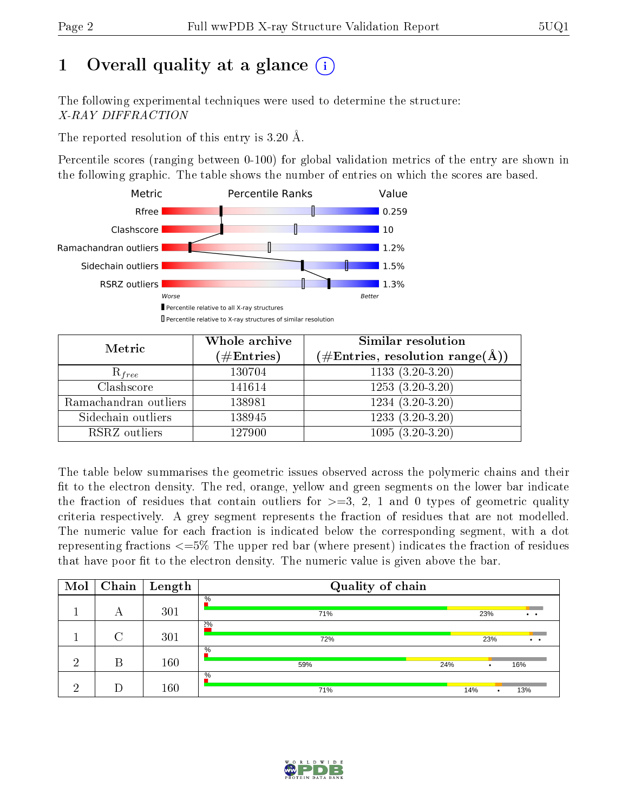# 1 [O](https://www.wwpdb.org/validation/2017/XrayValidationReportHelp#overall_quality)verall quality at a glance  $(i)$

The following experimental techniques were used to determine the structure: X-RAY DIFFRACTION

The reported resolution of this entry is 3.20 Å.

Percentile scores (ranging between 0-100) for global validation metrics of the entry are shown in the following graphic. The table shows the number of entries on which the scores are based.



| Metric                | Whole archive<br>$(\#\mathrm{Entries})$ | Similar resolution<br>$(\#\text{Entries},\,\text{resolution}\,\,\text{range}(\textup{\AA}))$ |
|-----------------------|-----------------------------------------|----------------------------------------------------------------------------------------------|
| $R_{free}$            | 130704                                  | $1133(3.20-3.20)$                                                                            |
| Clashscore            | 141614                                  | $1253(3.20-3.20)$                                                                            |
| Ramachandran outliers | 138981                                  | $1234(3.20-3.20)$                                                                            |
| Sidechain outliers    | 138945                                  | $1233(3.20-3.20)$                                                                            |
| RSRZ outliers         | 127900                                  | $1095(3.20-3.20)$                                                                            |

The table below summarises the geometric issues observed across the polymeric chains and their fit to the electron density. The red, orange, yellow and green segments on the lower bar indicate the fraction of residues that contain outliers for  $>=3, 2, 1$  and 0 types of geometric quality criteria respectively. A grey segment represents the fraction of residues that are not modelled. The numeric value for each fraction is indicated below the corresponding segment, with a dot representing fractions <=5% The upper red bar (where present) indicates the fraction of residues that have poor fit to the electron density. The numeric value is given above the bar.

| Mol | Chain  | $\overline{\phantom{a}}$ Length | Quality of chain   |          |                              |
|-----|--------|---------------------------------|--------------------|----------|------------------------------|
|     | А      | 301                             | $\%$<br>71%        | 23%      | $\ddot{\phantom{a}}$         |
|     | $\cap$ | 301                             | 2%<br>72%          | 23%      | $\bullet\qquad\bullet\qquad$ |
| ച   | В      | 160                             | $\%$<br>59%<br>24% | ٠        | 16%                          |
| ച   |        | 160                             | $\%$<br>71%        | 14%<br>٠ | 13%                          |

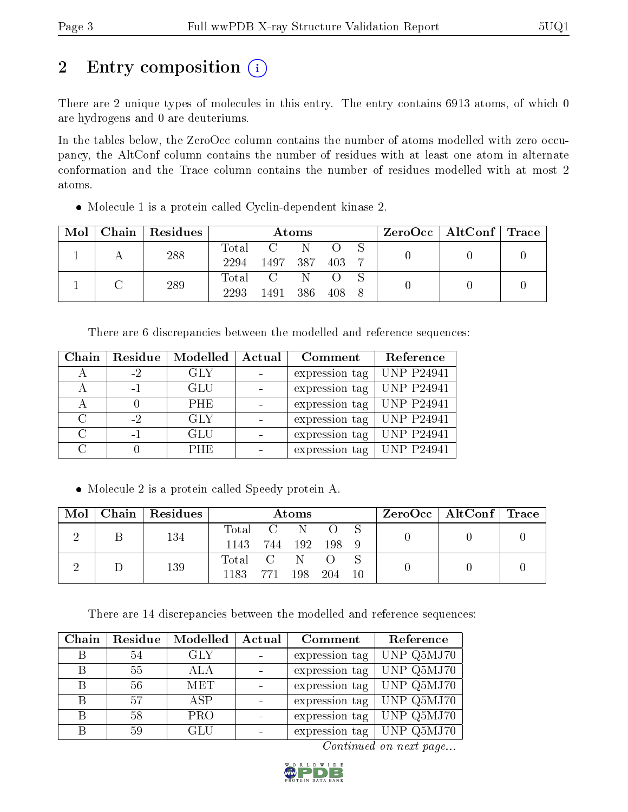# 2 Entry composition  $\left( \cdot \right)$

There are 2 unique types of molecules in this entry. The entry contains 6913 atoms, of which 0 are hydrogens and 0 are deuteriums.

In the tables below, the ZeroOcc column contains the number of atoms modelled with zero occupancy, the AltConf column contains the number of residues with at least one atom in alternate conformation and the Trace column contains the number of residues modelled with at most 2 atoms.

Molecule 1 is a protein called Cyclin-dependent kinase 2.

| Mol | Chain   Residues | Atoms |              |        |       |  |  | $\text{ZeroOcc} \mid \text{AltConf} \mid \text{Trace}$ |  |
|-----|------------------|-------|--------------|--------|-------|--|--|--------------------------------------------------------|--|
|     | 288              | Total | $C =$        |        |       |  |  |                                                        |  |
|     |                  | 2294  | 1497 387 403 |        |       |  |  |                                                        |  |
|     | 289              |       | Total C      | N.     |       |  |  |                                                        |  |
|     |                  | 2293  | 1491         | $-386$ | 408 8 |  |  |                                                        |  |

There are 6 discrepancies between the modelled and reference sequences:

| Chain  | Residue | Modelled   | Actual | Comment        | Reference         |
|--------|---------|------------|--------|----------------|-------------------|
| А      | $-2$    | <b>GLY</b> |        | expression tag | <b>UNP P24941</b> |
| А      | $-1$    | <b>GLU</b> |        | expression tag | <b>UNP P24941</b> |
|        |         | <b>PHE</b> |        | expression tag | UNP P24941        |
| $\cap$ | $-2$    | <b>GLY</b> |        | expression tag | $ $ UNP P24941    |
| $\cap$ | $-1$    | <b>GLU</b> |        | expression tag | <b>UNP P24941</b> |
|        |         | <b>PHE</b> |        | expression tag | $ $ UNP P24941    |

• Molecule 2 is a protein called Speedy protein A.

| Mol | $\mid$ Chain $\mid$ Residues | Atoms         |  |               |        | $\rm ZeroOcc \mid AltConf \mid Trace$ |  |  |
|-----|------------------------------|---------------|--|---------------|--------|---------------------------------------|--|--|
|     | 134                          | Total C N O S |  |               |        |                                       |  |  |
|     |                              | 1143          |  | 744 192 198 9 |        |                                       |  |  |
|     | 139                          | Total C N O   |  |               |        |                                       |  |  |
|     |                              | 1183 771 198  |  |               | 204 10 |                                       |  |  |

There are 14 discrepancies between the modelled and reference sequences:

| Chain | Residue | Modelled   | Actual | Comment        | Reference  |
|-------|---------|------------|--------|----------------|------------|
| В     | 54      | GLY        |        | expression tag | UNP Q5MJ70 |
| R     | 55      | ALA        |        | expression tag | UNP Q5MJ70 |
| В     | 56      | MET        |        | expression tag | UNP Q5MJ70 |
|       | 57      | ASP        |        | expression tag | UNP Q5MJ70 |
| R     | 58      | <b>PRO</b> |        | expression tag | UNP Q5MJ70 |
| R     | 59      | GLU        |        | expression tag | UNP Q5MJ70 |

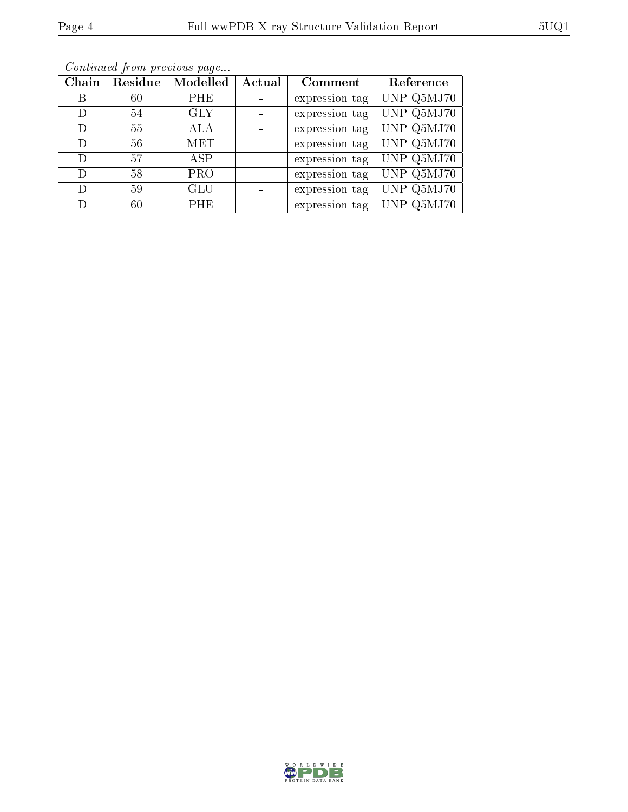| Chain | Residue | Modelled   | Actual | Comment        | Reference  |
|-------|---------|------------|--------|----------------|------------|
| Β     | 60      | PHE        |        | expression tag | UNP Q5MJ70 |
| D     | 54      | <b>GLY</b> |        | expression tag | UNP Q5MJ70 |
| D     | 55      | ALA        |        | expression tag | UNP Q5MJ70 |
| Ð     | 56      | MET        |        | expression tag | UNP Q5MJ70 |
| D     | 57      | ASP.       |        | expression tag | UNP Q5MJ70 |
| D     | 58      | <b>PRO</b> |        | expression tag | UNP Q5MJ70 |
| D     | 59      | <b>GLU</b> |        | expression tag | UNP Q5MJ70 |
| D     | 60      | <b>PHE</b> |        | expression tag | UNP Q5MJ70 |

Continued from previous page...

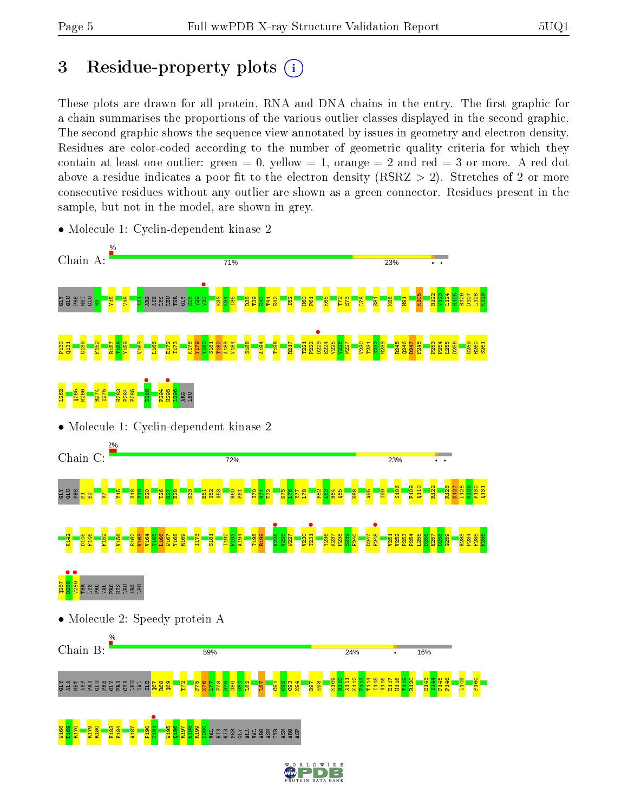## 3 Residue-property plots  $(i)$

These plots are drawn for all protein, RNA and DNA chains in the entry. The first graphic for a chain summarises the proportions of the various outlier classes displayed in the second graphic. The second graphic shows the sequence view annotated by issues in geometry and electron density. Residues are color-coded according to the number of geometric quality criteria for which they contain at least one outlier: green  $= 0$ , yellow  $= 1$ , orange  $= 2$  and red  $= 3$  or more. A red dot above a residue indicates a poor fit to the electron density (RSRZ  $> 2$ ). Stretches of 2 or more consecutive residues without any outlier are shown as a green connector. Residues present in the sample, but not in the model, are shown in grey.



• Molecule 1: Cyclin-dependent kinase 2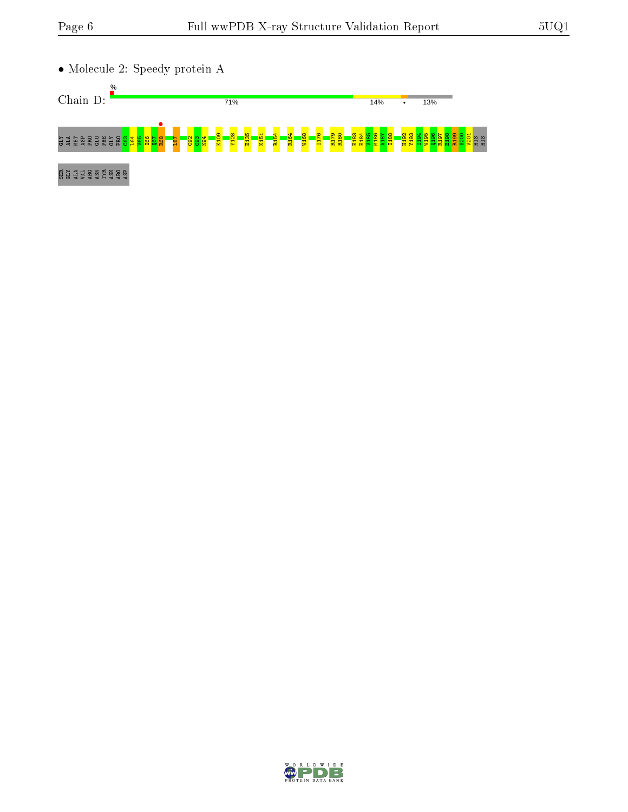

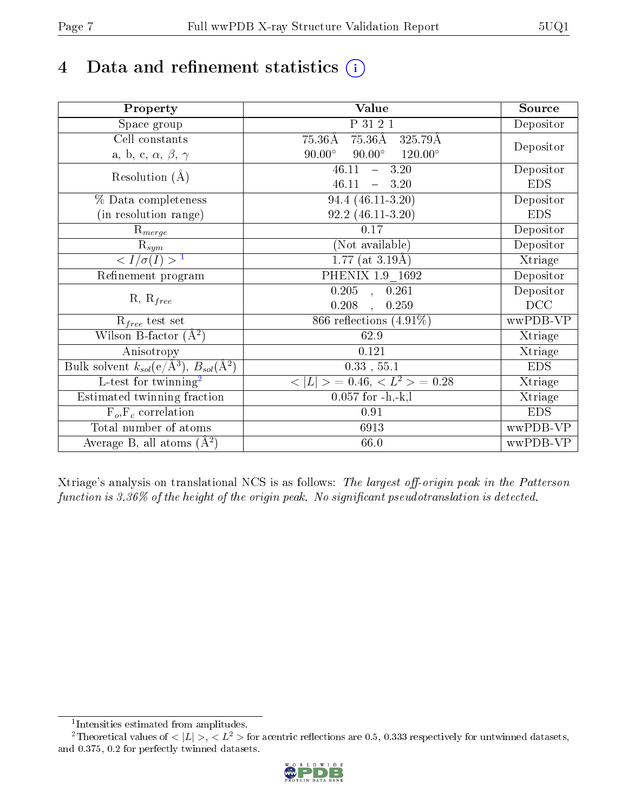# 4 Data and refinement statistics  $(i)$

| Property                                                             | Value                                              | Source     |
|----------------------------------------------------------------------|----------------------------------------------------|------------|
| Space group                                                          | P 31 2 1                                           | Depositor  |
| Cell constants                                                       | 75.36Å 325.79Å<br>$75.36\text{\AA}$                |            |
| a, b, c, $\alpha$ , $\beta$ , $\gamma$                               | $90.00^\circ$<br>$90.00^\circ$<br>$120.00^{\circ}$ | Depositor  |
| Resolution $(A)$                                                     | 46.11<br>$-3.20$                                   | Depositor  |
|                                                                      | 46.11<br>$-3.20$                                   | <b>EDS</b> |
| % Data completeness                                                  | 94.4 (46.11-3.20)                                  | Depositor  |
| (in resolution range)                                                | $92.2(46.11-3.20)$                                 | <b>EDS</b> |
| $R_{merge}$                                                          | 0.17                                               | Depositor  |
| $\mathrm{R}_{sym}$                                                   | (Not available)                                    | Depositor  |
| $\langle I/\sigma(I) \rangle$ <sup>1</sup>                           | $\overline{1.77 \text{ (at 3.19\text{\AA})}}$      | Xtriage    |
| Refinement program                                                   | PHENIX 1.9 1692                                    | Depositor  |
|                                                                      | $\overline{0.205}$ ,<br>0.261                      | Depositor  |
| $R, R_{free}$                                                        | 0.208<br>0.259<br>$\ddot{\phantom{a}}$             | DCC        |
| $\mathcal{R}_{free}$ test set                                        | 866 reflections $(4.91\%)$                         | wwPDB-VP   |
| Wilson B-factor $(A^2)$                                              | 62.9                                               | Xtriage    |
| Anisotropy                                                           | 0.121                                              | Xtriage    |
| Bulk solvent $k_{sol}(e/\mathring{A}^3)$ , $B_{sol}(\mathring{A}^2)$ | $0.33$ , $55.1$                                    | <b>EDS</b> |
| L-test for twinning <sup>2</sup>                                     | $< L >$ = 0.46, $< L2$ > = 0.28                    | Xtriage    |
| Estimated twinning fraction                                          | $0.057$ for $-h,-k,l$                              | Xtriage    |
| $F_o, F_c$ correlation                                               | 0.91                                               | <b>EDS</b> |
| Total number of atoms                                                | 6913                                               | wwPDB-VP   |
| Average B, all atoms $(A^2)$                                         | 66.0                                               | wwPDB-VP   |

Xtriage's analysis on translational NCS is as follows: The largest off-origin peak in the Patterson function is  $3.36\%$  of the height of the origin peak. No significant pseudotranslation is detected.

<sup>&</sup>lt;sup>2</sup>Theoretical values of  $\langle |L| \rangle$ ,  $\langle L^2 \rangle$  for acentric reflections are 0.5, 0.333 respectively for untwinned datasets, and 0.375, 0.2 for perfectly twinned datasets.



<span id="page-6-1"></span><span id="page-6-0"></span><sup>1</sup> Intensities estimated from amplitudes.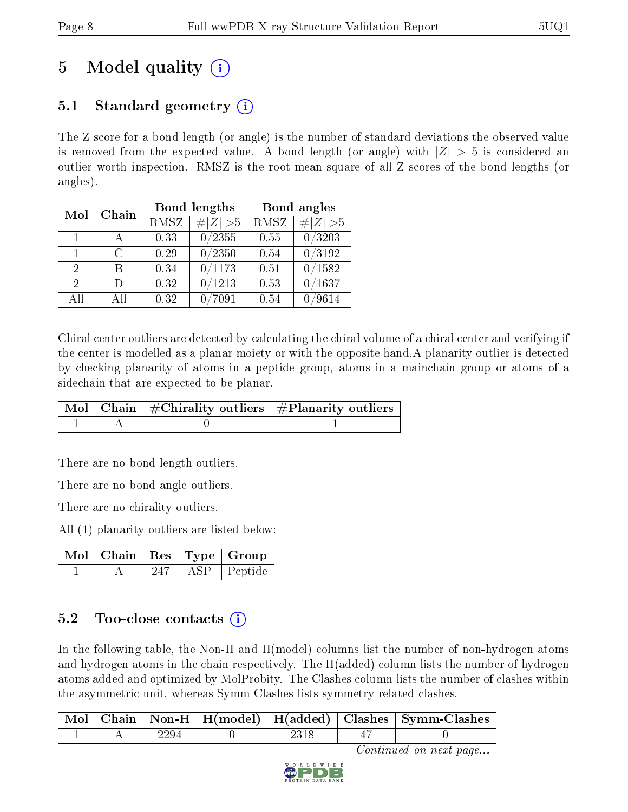# 5 Model quality  $(i)$

### 5.1 Standard geometry (i)

The Z score for a bond length (or angle) is the number of standard deviations the observed value is removed from the expected value. A bond length (or angle) with  $|Z| > 5$  is considered an outlier worth inspection. RMSZ is the root-mean-square of all Z scores of the bond lengths (or angles).

| Mol                         | Chain        |                     | Bond lengths    | Bond angles |             |  |
|-----------------------------|--------------|---------------------|-----------------|-------------|-------------|--|
|                             |              | RMSZ<br>$\# Z  > 5$ |                 | <b>RMSZ</b> | $\ Z\  > 5$ |  |
| $\blacksquare$ 1            | $\mathbf{A}$ | 0.33                | 0/2355          | 0.55        | 0/3203      |  |
| $\mathbf{1}$                | C            | 0.29                | 0/2350          | 0.54        | 0/3192      |  |
| $\mathcal{D}_{\mathcal{L}}$ | R            | 0.34                | 0/1173          | 0.51        | 0/1582      |  |
| 2                           | Ð            | 0.32                | 0/1213          | 0.53        | /1637       |  |
| All                         | Αll          | 0.32                | $^{\prime}7091$ | 0.54        | /9614       |  |

Chiral center outliers are detected by calculating the chiral volume of a chiral center and verifying if the center is modelled as a planar moiety or with the opposite hand.A planarity outlier is detected by checking planarity of atoms in a peptide group, atoms in a mainchain group or atoms of a sidechain that are expected to be planar.

|  | $\mid$ Mol $\mid$ Chain $\mid$ #Chirality outliers $\mid$ #Planarity outliers $\mid$ |
|--|--------------------------------------------------------------------------------------|
|  |                                                                                      |

There are no bond length outliers.

There are no bond angle outliers.

There are no chirality outliers.

All (1) planarity outliers are listed below:

|  |      | Mol   Chain   Res   Type   Group |
|--|------|----------------------------------|
|  | A SP | $\perp$ Peptide                  |

#### 5.2 Too-close contacts  $(i)$

In the following table, the Non-H and H(model) columns list the number of non-hydrogen atoms and hydrogen atoms in the chain respectively. The H(added) column lists the number of hydrogen atoms added and optimized by MolProbity. The Clashes column lists the number of clashes within the asymmetric unit, whereas Symm-Clashes lists symmetry related clashes.

|  |      |      | $\mid$ Mol $\mid$ Chain $\mid$ Non-H $\mid$ H(model) $\mid$ H(added) $\mid$ Clashes $\mid$ Symm-Clashes |
|--|------|------|---------------------------------------------------------------------------------------------------------|
|  | 2294 | 2318 |                                                                                                         |

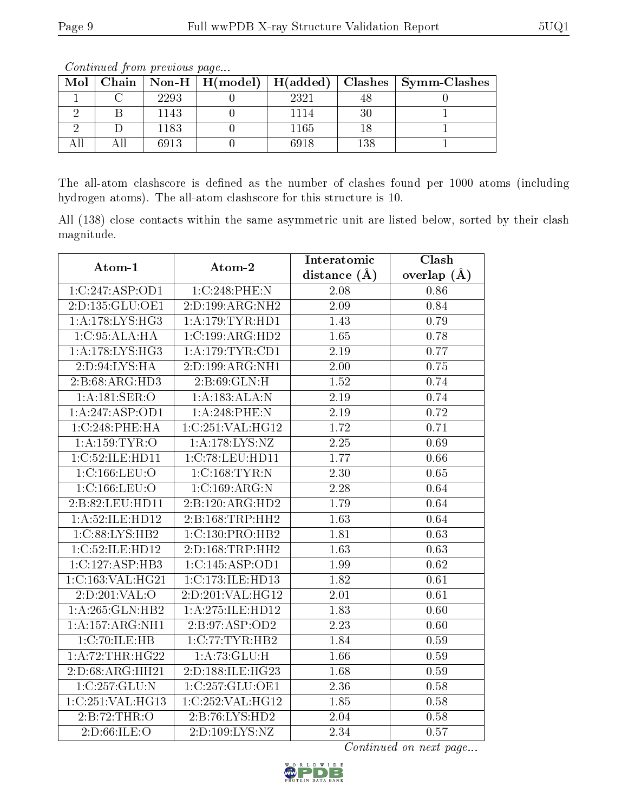|  | <u>oo issanad oo jigiisha jirooso deegaa i</u> |      |  |      |     |                                                                    |  |
|--|------------------------------------------------|------|--|------|-----|--------------------------------------------------------------------|--|
|  |                                                |      |  |      |     | Mol   Chain   Non-H   H(model)   H(added)   Clashes   Symm-Clashes |  |
|  |                                                | 2293 |  | 2321 |     |                                                                    |  |
|  |                                                | 1143 |  | 1114 |     |                                                                    |  |
|  |                                                | 1183 |  | 1165 |     |                                                                    |  |
|  |                                                | 6913 |  | 6918 | 138 |                                                                    |  |

Continued from previous page...

The all-atom clashscore is defined as the number of clashes found per 1000 atoms (including hydrogen atoms). The all-atom clashscore for this structure is 10.

All (138) close contacts within the same asymmetric unit are listed below, sorted by their clash magnitude.

| Atom-1             | Atom-2             | Interatomic       | Clash           |
|--------------------|--------------------|-------------------|-----------------|
|                    |                    | distance $(\AA)$  | overlap $(\AA)$ |
| 1:C:247:ASP:OD1    | 1:C:248:PHE:N      | $\overline{2.08}$ | 0.86            |
| 2:D:135:GLU:OE1    | 2:D:199:ARG:NH2    | 2.09              | 0.84            |
| 1:A:178:LYS:HG3    | 1: A:179: TYR: HD1 | 1.43              | 0.79            |
| 1: C:95: ALA: HA   | 1:C:199:ARG:HD2    | 1.65              | 0.78            |
| 1: A:178: LYS: HG3 | 1: A:179: TYR: CD1 | 2.19              | 0.77            |
| 2: D:94: LYS: HA   | 2:D:199:ARG:NH1    | 2.00              | 0.75            |
| 2:B:68:ARG:HD3     | 2: B:69: GLN:H     | 1.52              | 0.74            |
| 1: A:181: SER:O    | 1:A:183:ALA:N      | $\overline{2}.19$ | 0.74            |
| 1:A:247:ASP:OD1    | 1:A:248:PHE:N      | 2.19              | 0.72            |
| 1:C:248:PHE:HA     | 1:C:251:VAL:HG12   | 1.72              | 0.71            |
| 1: A: 159: TYR: O  | 1: A:178:LYS:NZ    | 2.25              | 0.69            |
| 1:C:52:ILE:HD11    | 1:C:78:LEU:HD11    | 1.77              | 0.66            |
| 1:C:166:LEU:O      | 1:C:168:TYR:N      | $\overline{2.30}$ | 0.65            |
| 1:C:166:LEU:O      | 1:C:169:ARG:N      | $2.28\,$          | 0.64            |
| 2:B:82:LEU:HD11    | 2:B:120:ARG:HD2    | 1.79              | 0.64            |
| 1:A:52:ILE:HD12    | 2:B:168:TRP:HH2    | 1.63              | 0.64            |
| 1:C:88:LYS:HB2     | 1:C:130:PRO:HB2    | 1.81              | 0.63            |
| 1:C:52:ILE:HD12    | 2:D:168:TRP:HH2    | 1.63              | 0.63            |
| 1:C:127:ASP:HB3    | 1:C:145:ASP:OD1    | 1.99              | 0.62            |
| 1:C:163:VAL:HG21   | 1:C:173:ILE:HD13   | 1.82              | 0.61            |
| 2:D:201:VAL:O      | 2:D:201:VAL:HG12   | 2.01              | 0.61            |
| 1:A:265:GLN:HB2    | 1:A:275:ILE:HD12   | 1.83              | 0.60            |
| 1:A:157:ARG:NH1    | 2:B:97:ASP:OD2     | 2.23              | 0.60            |
| 1:C:70:ILE:HB      | 1:C:77:TYR:HB2     | 1.84              | 0.59            |
| 1:A:72:THR:HG22    | 1: A:73: GLU:H     | 1.66              | 0.59            |
| 2:D:68:ARG:HH21    | 2:D:188:ILE:HG23   | 1.68              | 0.59            |
| 1:C:257:GLU:N      | 1:C:257:GLU:OE1    | 2.36              | 0.58            |
| 1:C:251:VAL:HG13   | 1:C:252:VAL:HG12   | 1.85              | 0.58            |
| 2:B:72:THR:O       | 2:B:76:LYS:HD2     | 2.04              | 0.58            |
| 2:D:66:ILE:O       | 2:D:109:LYS:NZ     | 2.34              | 0.57            |

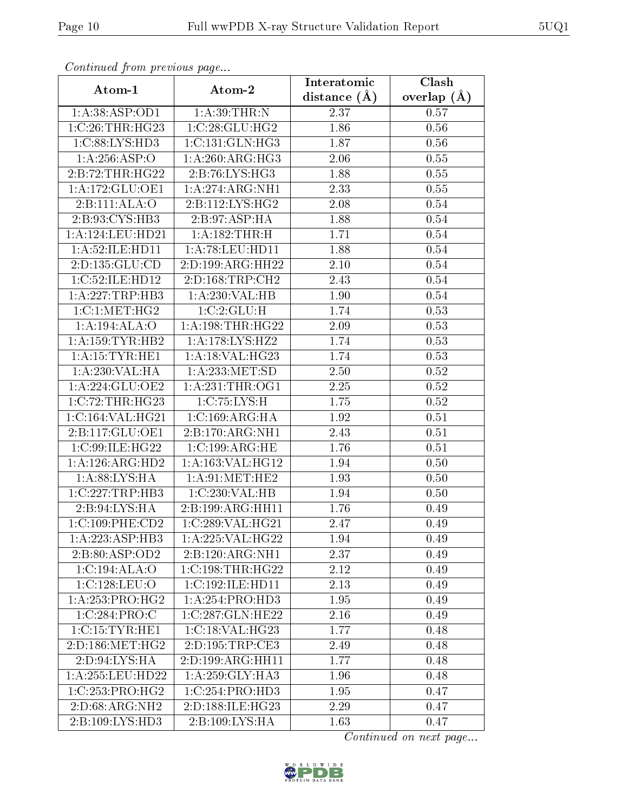| Continuea from previous page |                     | Interatomic    | $\overline{\text{Clash}}$ |
|------------------------------|---------------------|----------------|---------------------------|
| Atom-1                       | Atom-2              | distance $(A)$ | overlap $(A)$             |
| 1:A:38:ASP:OD1               | 1: A:39:THR:N       | 2.37           | 0.57                      |
| 1:C:26:THR:HG23              | 1:C:28:GLU:HG2      | 1.86           | 0.56                      |
| 1:C:88:LYS:HD3               | 1:C:131:GLN:HG3     | 1.87           | 0.56                      |
| 1:A:256:ASP:O                | 1: A:260:ARG:HG3    | 2.06           | 0.55                      |
| 2:B:72:THR:HG22              | 2:B:76:LYS:HG3      | 1.88           | 0.55                      |
| 1:A:172:GLU:OE1              | 1: A:274:ARG:NH1    | 2.33           | 0.55                      |
| 2:B:111:ALA:O                | 2: B: 112: LYS: HG2 | 2.08           | 0.54                      |
| 2:B:93:CYS:HB3               | 2:B:97:ASP:HA       | 1.88           | 0.54                      |
| 1:A:124:LEU:HD21             | 1: A: 182: THR: H   | 1.71           | 0.54                      |
| 1: A:52: ILE: HD11           | 1: A:78: LEU: HD11  | 1.88           | $0.54\,$                  |
| 2:D:135:GLU:CD               | 2:D:199:ARG:HH22    | 2.10           | 0.54                      |
| 1:C:52:ILE:HD12              | 2:D:168:TRP:CH2     | 2.43           | 0.54                      |
| 1:A:227:TRP:HB3              | 1: A:230: VAL: HB   | 1.90           | 0.54                      |
| 1:C:1:MET:HG2                | 1:C:2:GLU:H         | 1.74           | 0.53                      |
| 1:A:194:ALA:O                | 1: A:198:THR:HG22   | 2.09           | 0.53                      |
| 1: A: 159: TYR: HB2          | 1:A:178:LYS:HZ2     | 1.74           | 0.53                      |
| 1:A:15:TYR:HE1               | 1:A:18:VAL:HG23     | 1.74           | 0.53                      |
| 1:A:230:VAL:HA               | 1:A:233:MET:SD      | 2.50           | 0.52                      |
| 1:A:224:GLU:OE2              | 1: A:231:THR:OG1    | 2.25           | 0.52                      |
| 1:C:72:THR:HG23              | 1:C:75:LYS:H        | 1.75           | 0.52                      |
| 1:C:164:VAL:HG21             | 1:C:169:ARG:HA      | 1.92           | 0.51                      |
| 2: B: 117: GLU: OE1          | 2:B:170:ARG:NH1     | 2.43           | 0.51                      |
| 1:C:99:ILE:HG22              | 1:C:199:ARG:HE      | 1.76           | 0.51                      |
| 1:A:126:ARG:HD2              | 1:A:163:VAL:HG12    | 1.94           | 0.50                      |
| 1: A:88: LYS: HA             | 1: A:91:MET:HE2     | 1.93           | 0.50                      |
| 1:C:227:TRP:HB3              | 1:C:230:VAL:HB      | 1.94           | 0.50                      |
| 2:B:94:LYS:HA                | 2:B:199:ARG:HH11    | 1.76           | 0.49                      |
| 1:C:109:PHE:CD2              | 1:C:289:VAL:HG21    | 2.47           | 0.49                      |
| 1:A:223:ASP:HB3              | 1:A:225:VAL:HG22    | 1.94           | 0.49                      |
| 2:B:80:ASP:OD2               | 2:B:120:ARG:NH1     | 2.37           | 0.49                      |
| 1:C:194:ALA:O                | 1:C:198:THR:HG22    | 2.12           | 0.49                      |
| 1:C:128:LEU:O                | 1:C:192:ILE:HD11    | 2.13           | 0.49                      |
| 1: A: 253: PRO:HG2           | 1: A:254: PRO:HD3   | 1.95           | 0.49                      |
| 1:C:284:PRO:C                | 1:C:287:GLN:HE22    | $2.16\,$       | 0.49                      |
| 1:C:15:TYR:HE1               | 1:C:18:VAL:HG23     | 1.77           | 0.48                      |
| 2:D:186:MET:HG2              | 2:D:195:TRP:CE3     | 2.49           | 0.48                      |
| 2:D:94:LYS:HA                | 2:D:199:ARG:HH11    | 1.77           | 0.48                      |
| 1:A:255:LEU:HD22             | 1:A:259:GLY:HA3     | 1.96           | 0.48                      |
| 1:C:253:PRO:HG2              | 1:C:254:PRO:HD3     | 1.95           | 0.47                      |
| 2:D:68:ARG:NH2               | 2:D:188:ILE:HG23    | 2.29           | 0.47                      |
| 2: B: 109: LYS: HD3          | 2:B:109:LYS:HA      | 1.63           | 0.47                      |

Continued from previous page.

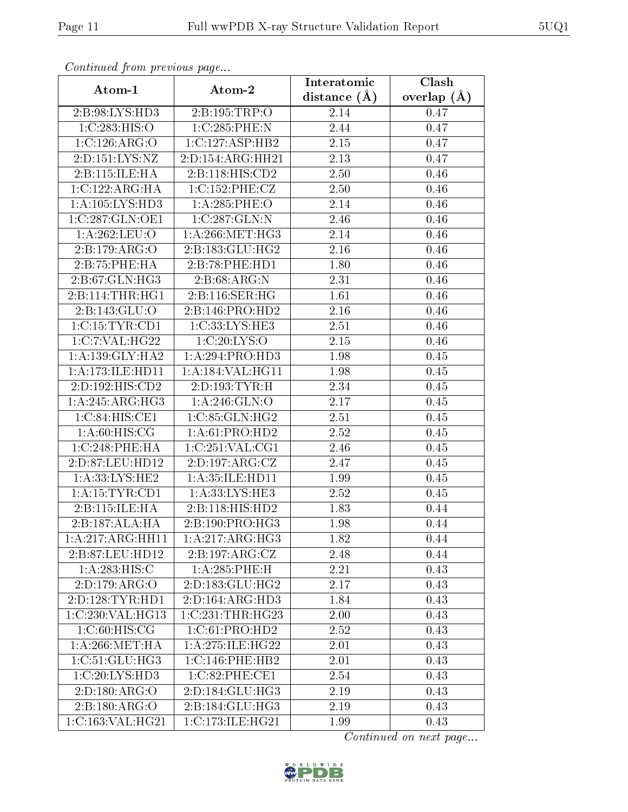| Continuati pont previous page |                    | Interatomic      | Clash           |  |
|-------------------------------|--------------------|------------------|-----------------|--|
| Atom-1                        | Atom-2             | distance $(\AA)$ | overlap $(\AA)$ |  |
| 2:B:98:LYS:HD3                | 2:B:195:TRP:O      | 2.14             | 0.47            |  |
| 1:C:283:HIS:O                 | 1:C:285:PHE:N      | 2.44             | 0.47            |  |
| 1:C:126:ARG:O                 | 1:C:127:ASP:HB2    | 2.15             | 0.47            |  |
| 2:D:151:LYS:NZ                | 2:D:154:ARG:HH21   | 2.13             | 0.47            |  |
| 2:B:115:ILE:HA                | 2:Bi:118:HIS:CD2   | 2.50             | 0.46            |  |
| 1:C:122:ARG:HA                | 1:C:152:PHE:CZ     | 2.50             | 0.46            |  |
| 1:A:105:LYS:HD3               | $1: A:285:$ PHE:O  | 2.14             | 0.46            |  |
| 1:C:287:GLN:OE1               | 1:C:287:GLN:N      | 2.46             | 0.46            |  |
| 1:A:262:LEU:O                 | 1: A:266:MET:HG3   | 2.14             | 0.46            |  |
| 2:B:179:ARG:O                 | 2:B:183:GLU:HG2    | 2.16             | 0.46            |  |
| 2:B:75:PHE:HA                 | 2:B:78:PHE:HD1     | 1.80             | 0.46            |  |
| $2: B:67: \overline{GLN:HG3}$ | 2: B:68:ARG:N      | 2.31             | 0.46            |  |
| 2:B:114:THR:HGI               | 2:B:116:SER:HG     | 1.61             | 0.46            |  |
| 2:B:143:GLU:O                 | 2:B:146:PRO:HD2    | 2.16             | 0.46            |  |
| 1:C:15:TYR:CD1                | 1:C:33:LYS:HE3     | 2.51             | 0.46            |  |
| 1:C:7:VAL:HG22                | 1:C:20:LYS:O       | 2.15             | 0.46            |  |
| 1: A: 139: GLY: HA2           | 1:A:294:PRO:HD3    | 1.98             | 0.45            |  |
| 1:A:173:ILE:HDI1              | 1:A:184:VAL:HG11   | 1.98             | 0.45            |  |
| 2:D:192:HIS:CD2               | 2:D:193:TYR:H      | 2.34             | 0.45            |  |
| 1: A:245: ARG: HG3            | 1: A:246: GLN:O    | 2.17             | 0.45            |  |
| 1:C:84:HIS:CE1                | 1:C:85:GLN:HG2     | 2.51             | 0.45            |  |
| $1:A:60:HIS:\overline{CG}$    | 1:A:61:PRO:HD2     | 2.52             | 0.45            |  |
| 1:C:248:PHE:HA                | 1:C:251:VAL:CG1    | 2.46             | 0.45            |  |
| 2:D:87:LEU:HD12               | 2:D:197:ARG:CZ     | 2.47             | 0.45            |  |
| 1: A:33: LYS: HE2             | 1: A:35: ILE: HD11 | 1.99             | 0.45            |  |
| 1: A:15:TYR:CD1               | 1:A:33:LYS:HE3     | 2.52             | 0.45            |  |
| 2:B:115:ILE:HA                | 2:B:118:HIS:HD2    | 1.83             | 0.44            |  |
| 2:B:187:ALA:HA                | 2:B:190:PRO:HG3    | 1.98             | 0.44            |  |
| 1:A:217:ARG:HH11              | 1:A:217:ARG:HG3    | 1.82             | 0.44            |  |
| 2:B:87:LEU:HD12               | 2:B:197:ARG:CZ     | 2.48             | 0.44            |  |
| 1:A:283:HIS:C                 | 1:A:285:PHE:H      | 2.21             | 0.43            |  |
| 2:D:179:ARG:O                 | 2:D:183:GLU:HG2    | 2.17             | 0.43            |  |
| 2:D:128:TYR:HDI               | 2:D:164:ARG:HD3    | 1.84             | 0.43            |  |
| 1:C:230:VAL:HG13              | 1:C:231:THR:HG23   | 2.00             | 0.43            |  |
| 1: C:60:HIS:CG                | 1:C:61:PRO:HD2     | 2.52             | 0.43            |  |
| 1: A:266: MET:HA              | 1:A:275:ILE:HG22   | 2.01             | 0.43            |  |
| 1: C:51: GLU: HG3             | 1:C:146:PHE:HB2    | 2.01             | 0.43            |  |
| 1:C:20:LYS:HD3                | 1:C:82:PHE:CE1     | 2.54             | 0.43            |  |
| 2:D:180:ARG:O                 | 2:D:184:GLU:HG3    | 2.19             | 0.43            |  |
| 2:B:180:ARG:O                 | 2:B:184:GLU:HG3    | 2.19             | 0.43            |  |
| 1:C:163:VAL:HG21              | 1:C:173:ILE:HG21   | 1.99             | 0.43            |  |

Continued from previous page.

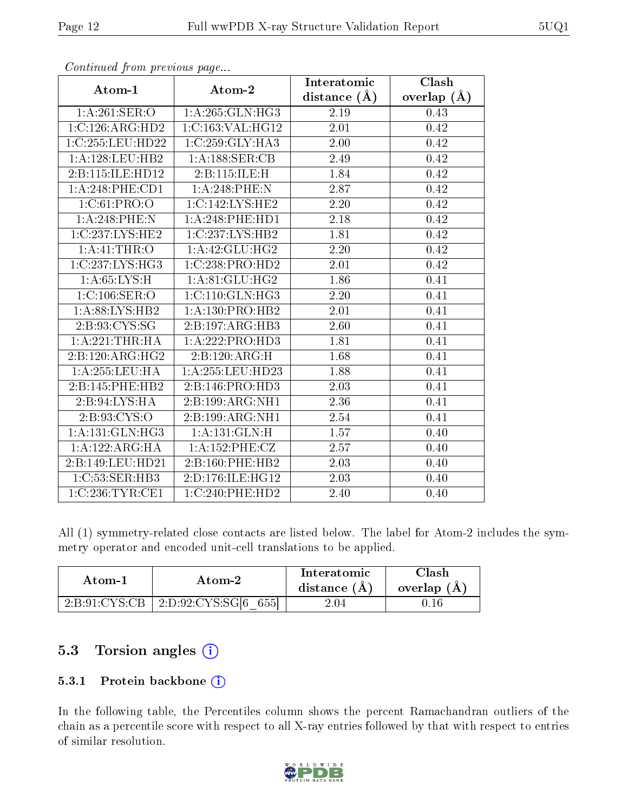|                              |                               | Interatomic    | Clash         |
|------------------------------|-------------------------------|----------------|---------------|
| Atom-1                       | Atom-2                        | distance $(A)$ | overlap $(A)$ |
| 1: A:261:SER:O               | 1:A:265:GLN:HG3               | 2.19           | 0.43          |
| 1:C:126:ARG:HD2              | 1:C:163:VAL:HG12              | 2.01           | 0.42          |
| 1:C:255:LEU:HD22             | 1:C:259:GLY:HA3               | 2.00           | 0.42          |
| 1:A:128:LEU:HB2              | 1: A: 188: SER: CB            | 2.49           | 0.42          |
| 2:B:115:ILE:HD12             | 2:B:115:ILE:H                 | 1.84           | 0.42          |
| $1: A:248:$ PHE:CD1          | 1:A:248:PHE:N                 | 2.87           | 0.42          |
| 1:C:61:PRO:O                 | 1:C:142:LYS:HE2               | 2.20           | 0.42          |
| $1: A:248:$ PHE:N            | 1:A:248:PHE:HD1               | 2.18           | 0.42          |
| 1:C:237:LYS:HE2              | 1:C:237:LYS:HB2               | 1.81           | 0.42          |
| 1: A: 41: THE: O             | 1: A: 42: GLU: HG2            | 2.20           | 0.42          |
| 1:C:237:LYS:HG3              | 1:C:238:PRO:HD2               | 2.01           | 0.42          |
| 1: A:65: LYS:H               | $1: A:81: \overline{GLU:HG2}$ | 1.86           | 0.41          |
| 1:C:106:SER:O                | 1: C: 110: GLN: HG3           | 2.20           | 0.41          |
| 1: A:88: LYS: HB2            | 1: A: 130: PRO:HB2            | 2.01           | 0.41          |
| 2:B:93:CYS:SG                | 2:B:197:ARG:HB3               | 2.60           | 0.41          |
| 1: A:221:THR:HA              | 1:A:222:PRO:HD3               | 1.81           | 0.41          |
| $2:B:120:ARG:H\overline{G2}$ | 2: B: 120: ARG: H             | 1.68           | 0.41          |
| 1: A: 255: LEU: HA           | $1: A: 255:$ LEU:HD23         | 1.88           | 0.41          |
| 2:B:145:PHE:HB2              | 2:B:146:PRO:HD3               | 2.03           | 0.41          |
| 2:B:94:LYS:HA                | 2:B:199:ARG:NH1               | 2.36           | 0.41          |
| 2: B: 93: CYS:O              | 2:B:199:ARG:NH1               | 2.54           | 0.41          |
| 1:A:131:GLN:HG3              | 1:A:131:GLN:H                 | 1.57           | 0.40          |
| 1:A:122:ARG:HA               | 1:A:152:PHE:CZ                | 2.57           | 0.40          |
| 2:B:149:LEU:HD21             | 2:B:160:PHE:HB2               | 2.03           | 0.40          |
| 1:C:53:SER:HB3               | 2:D:176:ILE:HG12              | 2.03           | 0.40          |
| 1:C:236:TYR:CE1              | 1:C:240:PHE:HD2               | 2.40           | 0.40          |

Continued from previous page...

All (1) symmetry-related close contacts are listed below. The label for Atom-2 includes the symmetry operator and encoded unit-cell translations to be applied.

| Atom-1                  | Atom-2                 | Interatomic<br>distance (A) | Clash<br>overlap (A |
|-------------------------|------------------------|-----------------------------|---------------------|
| $2:\!B:\!91:\!CYS:\!CB$ | 655<br>2:D:92:CYS:SG[6 | 2.04                        | . 16-               |

### 5.3 Torsion angles (i)

#### 5.3.1 Protein backbone (i)

In the following table, the Percentiles column shows the percent Ramachandran outliers of the chain as a percentile score with respect to all X-ray entries followed by that with respect to entries of similar resolution.

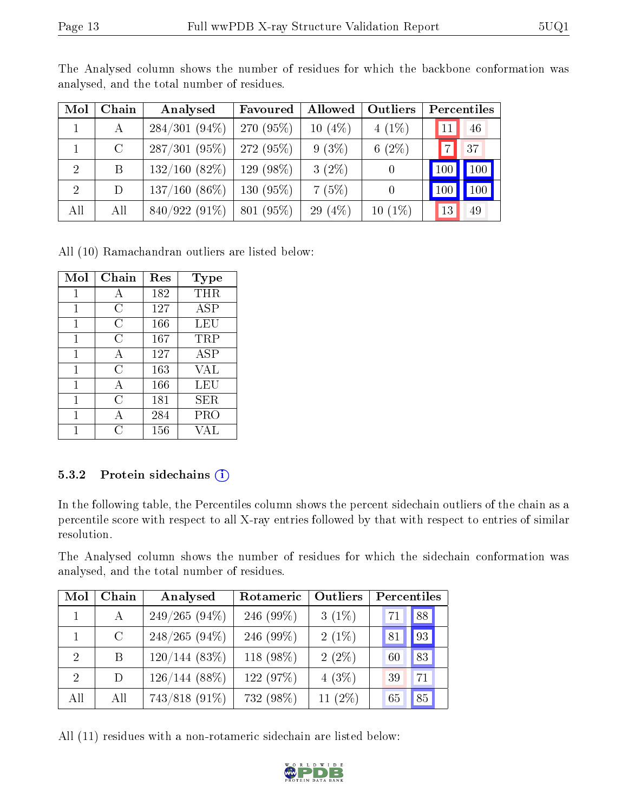| Mol            | Chain   | Analysed        | Favoured    | Allowed   | Outliers  | Percentiles     |           |
|----------------|---------|-----------------|-------------|-----------|-----------|-----------------|-----------|
|                | А       | $284/301(94\%)$ | 270 (95%)   | $10(4\%)$ | $4(1\%)$  |                 | 46        |
|                | $\rm C$ | $287/301(95\%)$ | 272 (95%)   | $9(3\%)$  | 6(2%)     | $\overline{ }$  | 37        |
| $\overline{2}$ | B       | 132/160(82%)    | $129(98\%)$ | $3(2\%)$  |           | 100             | $^1100$ ) |
| $\overline{2}$ | D       | $137/160(86\%)$ | $130(95\%)$ | 7(5%)     |           | 10 <sub>0</sub> | 100       |
| All            | All     | $840/922(91\%)$ | 801 (95%)   | 29 $(4%)$ | $10(1\%)$ | 13              | 49        |

The Analysed column shows the number of residues for which the backbone conformation was analysed, and the total number of residues.

All (10) Ramachandran outliers are listed below:

| Mol | Chain          | Res | Type |
|-----|----------------|-----|------|
| 1   | А              | 182 | THR  |
| 1   | С              | 127 | ASP  |
| 1   | С              | 166 | LEU  |
| 1   | $\overline{C}$ | 167 | TRP  |
| 1   | A              | 127 | ASP  |
| 1   | $\overline{C}$ | 163 | VAL  |
| 1   | А              | 166 | LEU  |
| 1   | $\overline{C}$ | 181 | SER  |
| 1   | А              | 284 | PRO  |
|     | ( )            | 156 | VAL  |

#### 5.3.2 Protein sidechains  $(i)$

In the following table, the Percentiles column shows the percent sidechain outliers of the chain as a percentile score with respect to all X-ray entries followed by that with respect to entries of similar resolution.

The Analysed column shows the number of residues for which the sidechain conformation was analysed, and the total number of residues.

| Mol                         | Chain | Analysed        | Rotameric | <b>Outliers</b> | Percentiles |    |
|-----------------------------|-------|-----------------|-----------|-----------------|-------------|----|
|                             | A     | $249/265(94\%)$ | 246 (99%) | $3(1\%)$        | $-71$       | 88 |
|                             | C     | $248/265(94\%)$ | 246 (99%) | $2(1\%)$        | 81          | 93 |
| $\mathcal{D}_{\mathcal{L}}$ | Β     | $120/144(83\%)$ | 118 (98%) | $2(2\%)$        | 60          | 83 |
| $\mathcal{D}_{\mathcal{L}}$ | D     | $126/144(88\%)$ | 122 (97%) | $4(3\%)$        | 39          | 71 |
| All                         | All   | 743/818 (91%)   | 732 (98%) | 11 $(2\%)$      | 65          | 85 |

All (11) residues with a non-rotameric sidechain are listed below:

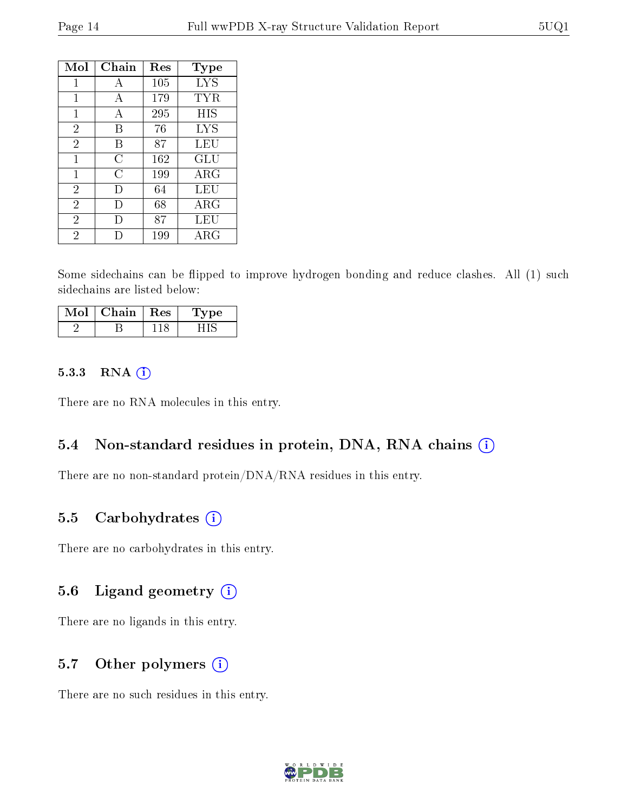| Mol            | Chain  | Res | $_{\rm Type}$ |
|----------------|--------|-----|---------------|
| 1              | А      | 105 | <b>LYS</b>    |
| 1              | А      | 179 | TYR           |
| 1              | А      | 295 | <b>HIS</b>    |
| $\overline{2}$ | В      | 76  | <b>LYS</b>    |
| $\overline{2}$ | В      | 87  | LEU           |
| 1              | С      | 162 | GLU           |
| 1              | С      | 199 | ARG           |
| $\overline{2}$ | Ð      | 64  | LEU           |
| $\overline{2}$ | $\Box$ | 68  | ${\rm ARG}$   |
| $\overline{2}$ | $\Box$ | 87  | LEU           |
| 2              |        | 199 | ${\rm ARG}$   |

Some sidechains can be flipped to improve hydrogen bonding and reduce clashes. All (1) such sidechains are listed below:

| Chain | $\perp$ Res | vpe |
|-------|-------------|-----|
|       |             |     |

#### 5.3.3 RNA (i)

There are no RNA molecules in this entry.

#### 5.4 Non-standard residues in protein, DNA, RNA chains (i)

There are no non-standard protein/DNA/RNA residues in this entry.

#### 5.5 Carbohydrates  $(i)$

There are no carbohydrates in this entry.

#### 5.6 Ligand geometry  $(i)$

There are no ligands in this entry.

#### 5.7 [O](https://www.wwpdb.org/validation/2017/XrayValidationReportHelp#nonstandard_residues_and_ligands)ther polymers  $(i)$

There are no such residues in this entry.

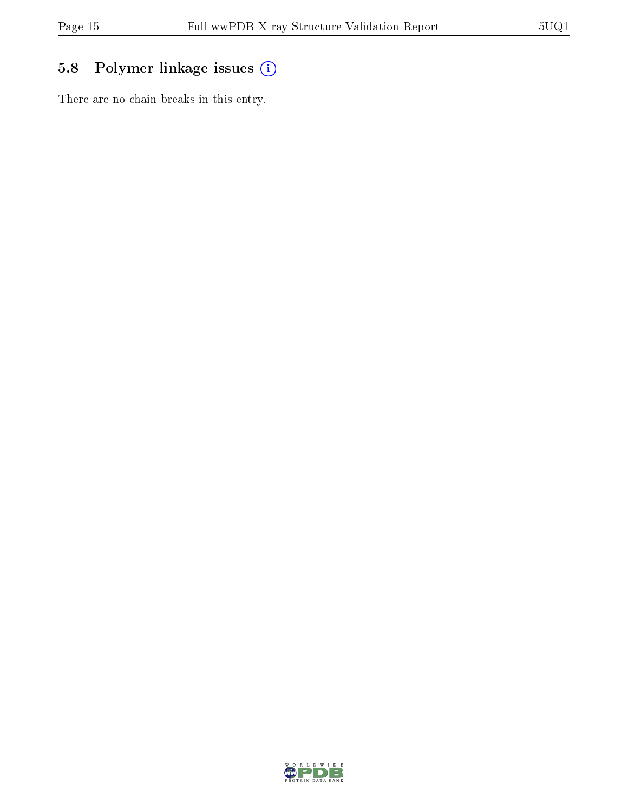### 5.8 Polymer linkage issues (i)

There are no chain breaks in this entry.

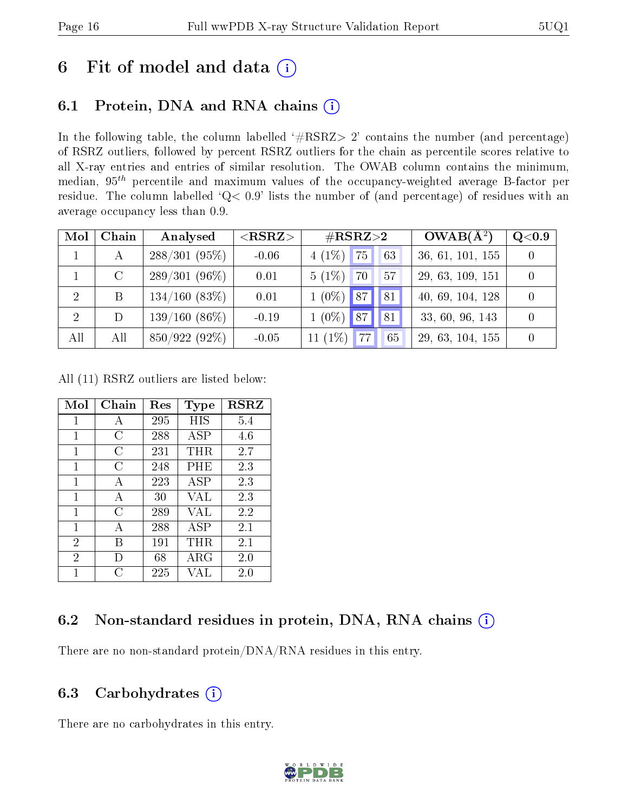## 6 Fit of model and data  $(i)$

### 6.1 Protein, DNA and RNA chains  $(i)$

In the following table, the column labelled  $#RSRZ> 2'$  contains the number (and percentage) of RSRZ outliers, followed by percent RSRZ outliers for the chain as percentile scores relative to all X-ray entries and entries of similar resolution. The OWAB column contains the minimum, median,  $95<sup>th</sup>$  percentile and maximum values of the occupancy-weighted average B-factor per residue. The column labelled ' $Q< 0.9$ ' lists the number of (and percentage) of residues with an average occupancy less than 0.9.

| Mol            | Chain   | Analysed        | ${ <\hspace{-1.5pt}{\mathrm{RSRZ}} \hspace{-1.5pt}>}$ | $\#\text{RSRZ}{>}2$    | $OWAB(A^2)$      | Q <sub>0.9</sub> |
|----------------|---------|-----------------|-------------------------------------------------------|------------------------|------------------|------------------|
|                | А       | $288/301(95\%)$ | $-0.06$                                               | $4(1\%)$<br>75<br>63   | 36, 61, 101, 155 |                  |
|                | $\rm C$ | $289/301(96\%)$ | 0.01                                                  | $5(1\%)$<br>70<br>57   | 29, 63, 109, 151 |                  |
| -2             | B       | 134/160(83%)    | 0.01                                                  | 81 <br>87<br>$1(0\%)$  | 40, 69, 104, 128 |                  |
| $\overline{2}$ | D       | $139/160(86\%)$ | $-0.19$                                               | $1(0\%)$<br>87<br>81   | 33, 60, 96, 143  |                  |
| All            | All     | 850/922 (92%)   | $-0.05$                                               | 11 $(1\%)$<br>77<br>65 | 29, 63, 104, 155 |                  |

All (11) RSRZ outliers are listed below:

| Mol            | Chain | $\operatorname{Res}% \left( \mathcal{N}\right) \equiv\operatorname{Res}(\mathcal{N}_{0})\cap\mathcal{N}_{1}$ | Type        | <b>RSRZ</b> |
|----------------|-------|--------------------------------------------------------------------------------------------------------------|-------------|-------------|
| 1              | А     | 295                                                                                                          | HIS         | 5.4         |
| 1              | C     | 288                                                                                                          | ASP         | 4.6         |
| 1              | C     | 231                                                                                                          | THR         | 2.7         |
| $\mathbf{1}$   | C     | 248                                                                                                          | PHE         | 2.3         |
| 1              | A     | 223                                                                                                          | ASP         | 2.3         |
| 1              | А     | 30                                                                                                           | VAL         | 2.3         |
| 1              | C     | 289                                                                                                          | VAL         | 2.2         |
| $\mathbf{1}$   | А     | 288                                                                                                          | ASP         | 2.1         |
| $\overline{2}$ | В     | 191                                                                                                          | $\rm THR$   | 2.1         |
| $\overline{2}$ | D     | 68                                                                                                           | ${\rm ARG}$ | 2.0         |
| 1              | ( )   | 225                                                                                                          | VAL         | $2.0\,$     |

#### 6.2 Non-standard residues in protein, DNA, RNA chains (i)

There are no non-standard protein/DNA/RNA residues in this entry.

#### 6.3 Carbohydrates (i)

There are no carbohydrates in this entry.